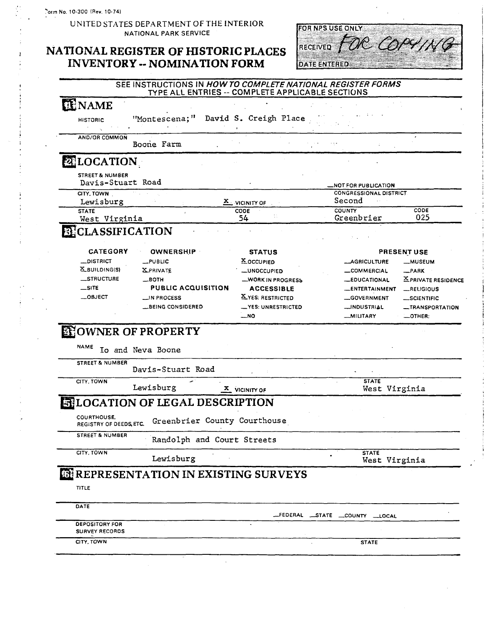UNITED STATES DEPARTMENT OF THE INTERIOR NATIONAL PARK SERVICE

### NATIONAL REGISTER OF HISTORIC PLACES **INVENTORY -- NOMINATION FORM**



# SEE INSTRUCTIONS IN HOW TO COMPLETE NATIONAL REGISTER FORMS

| <b>TENAME</b>                                   |                                                         |                                             |                                   |                           |
|-------------------------------------------------|---------------------------------------------------------|---------------------------------------------|-----------------------------------|---------------------------|
|                                                 |                                                         |                                             |                                   |                           |
| <b>HISTORIC</b>                                 | "Montescena;" David S. Creigh Place                     |                                             |                                   |                           |
| AND/OR COMMON                                   |                                                         |                                             |                                   |                           |
|                                                 | Boone Farm                                              |                                             |                                   |                           |
| <b>ELOCATION</b>                                |                                                         |                                             |                                   |                           |
| <b>STREET &amp; NUMBER</b><br>Davis-Stuart Road |                                                         |                                             | _NOT FOR PUBLICATION              |                           |
| CITY, TOWN                                      | $\mathcal{F}(\mathcal{F})$ .                            |                                             | <b>CONGRESSIONAL DISTRICT</b>     |                           |
| Lewisburg                                       |                                                         | X VICINITY OF                               | Second                            |                           |
| <b>STATE</b><br>West Virginia                   |                                                         | CODE<br>54                                  | <b>COUNTY</b><br>Greenbrier       | CODE<br>025               |
| <b>BECLASSIFICATION</b>                         |                                                         |                                             |                                   |                           |
|                                                 |                                                         |                                             |                                   |                           |
| <b>CATEGORY</b>                                 | <b>OWNERSHIP</b>                                        | <b>STATUS</b>                               |                                   | <b>PRESENT USE</b>        |
| $\_$ district                                   | $_{\rm \perp}$ PUBLIC                                   | X OCCUPIED                                  | <b>__AGRICULTURE</b>              | <b>__MUSEUM</b>           |
| <b>X_BUILDING(S)</b>                            | <b>XPRIVATE</b>                                         | <b>__UNOCCUPIED</b>                         | _COMMERCIAL                       | $R$ PARK                  |
| _STRUCTURE                                      | $\equiv$ BOTH                                           | WORK IN PROGRESS                            | <b>_EDUCATIONAL</b>               | <b>XPRIVATE RESIDENCE</b> |
| $\equiv$ SITE                                   | <b>PUBLIC ACQUISITION</b>                               | <b>ACCESSIBLE</b>                           | <b>_ENTERTAINMENT</b>             | _RELIGIOUS                |
| $-$ 08JECT                                      | $\sqcup$ IN PROCESS                                     | <b>X_YES: RESTRICTED</b>                    |                                   | <b>__SCIENTIFIC</b>       |
|                                                 |                                                         |                                             |                                   |                           |
|                                                 |                                                         |                                             | __GOVERNMENT                      |                           |
|                                                 | <b>__BEING CONSIDERED</b><br><b>EFOWNER OF PROPERTY</b> | <b>_YES: UNRESTRICTED</b><br>$$ NO          | _INDUSTRIAL<br><b>MILITARY</b>    | $\_$ OTHER:               |
| <b>NAME</b>                                     | Io and Neva Boone                                       |                                             |                                   |                           |
| <b>STREET &amp; NUMBER</b>                      | Davis-Stuart Road                                       |                                             |                                   |                           |
| CITY, TOWN                                      |                                                         |                                             | <b>STATE</b>                      |                           |
|                                                 | Lewisburg                                               | $\frac{\mathbf{x}}{\mathbf{y}}$ vicinity of | West Virginia                     |                           |
|                                                 | <b>EHLOCATION OF LEGAL DESCRIPTION</b>                  |                                             |                                   |                           |
| COURTHOUSE,<br>REGISTRY OF DEEDS ETC.           | Greenbrier County Courthouse                            |                                             |                                   |                           |
| <b>STREET &amp; NUMBER</b>                      | Randolph and Court Streets                              |                                             |                                   |                           |
| CITY, TOWN                                      | Lewisburg                                               |                                             | <b>STATE</b>                      |                           |
|                                                 |                                                         |                                             | West Virginia                     |                           |
|                                                 | <b>GEREPRESENTATION IN EXISTING SURVEYS</b>             |                                             |                                   |                           |
| TITLE                                           |                                                         |                                             |                                   |                           |
| DATE                                            |                                                         |                                             |                                   |                           |
| <b>DEPOSITORY FOR</b><br><b>SURVEY RECORDS</b>  |                                                         |                                             | FEDERAL __STATE __COUNTY ___LOCAL | <b>__TRANSPORTATION</b>   |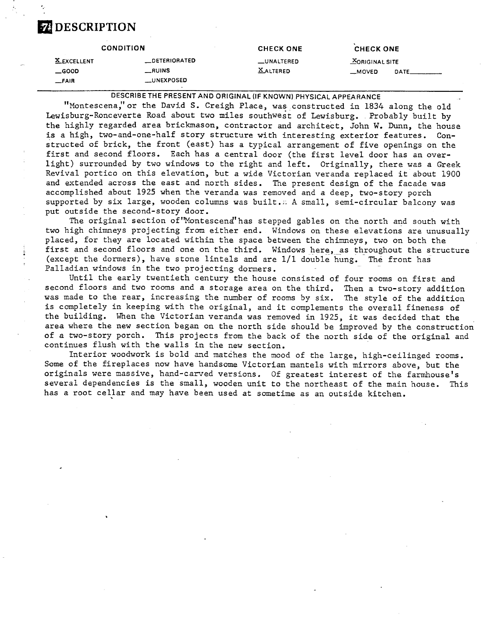## **a DESCRIPTION**

|                                                | <b>CONDITION</b>                                      | <b>CHECK ONE</b>              | <b>CHECK ONE</b>                                             |
|------------------------------------------------|-------------------------------------------------------|-------------------------------|--------------------------------------------------------------|
| <b>X_EXCELLENT</b><br>$\equiv$ GOOD<br>$-FAIR$ | _DETERIORATED<br>$\equiv$ RUINS<br><b>__UNEXPOSED</b> | _UNALTERED<br><b>XALTERED</b> | <b>MORIGINAL SITE</b><br>__MOVED<br><b>DATE_____________</b> |
|                                                |                                                       |                               |                                                              |

DESCRIBE THE PRESENT AND ORIGINAL (IF KNOWN) PHYSICAL APPEARANCE

"Montescena," or the David S. Creigh Place, was constructed in 1834 along the old Lewisburg-Ronceverte Road about two miles southwest of Lewisburg. Probably built by the highly regarded area brickmason, contractor and architect, John W. Dunn, the house is a high, two-and-one-half story structure with interesting exterior features. Constructed of brick, the front (east) has a typical arrangement of five openings on the first and second floors. Each has a central door (the first level door has an overlight) surrounded by two windows to the right and left. Originally, there was a Greek Revival portico on this elevation, but a wide Victorian veranda replaced it about 1900 and extended across the east and north sides. The present design of the facade was accomplished about 1925 when the veranda was removed and a deep, two-story porch supported by six large, wooden columns was built.'. **A** small, semi-circular balcony was put outside the second-story door.

The original section of"Montescend" has stepped gables on the north and south with two high chimneys projecting from either end. Windows on these elevations are unusually placed, for they are located within the space between the chimneys, two on both the first and second floors and one on the third. Windows here, as throughout the structure (except the dormers), have stone lintels and are 1/1 double hung. The front has Palladian windows in the two projecting dormers.

Until the early twentieth century the house consisted of four rooms on first and second floors and two rooms and a storage area on the third. Then a two-story addition was made to the rear, increasing the number of rooms by six. The style of the addition is completely in keeping with the original, and it complements the overall fineness of the building. When the Victorian veranda was removed in 1925, it was decided that the area where the new section began on the north side should be improved by the construction of a two-story porch. This projects from the back of the north side of the original and continues flush with the walls in the new section.

Interior woodwork is bold and matches the mood of the large, high-ceilinged rooms. Some of the fireplaces now have handsome Victorian mantels with mirrors above, but the originals were massive, hand-carved versions. Of greatest interest of the farmhouse's several dependencies is the small, wooden unit to the northeast of the main house. This has a root cellar and may have been used at sometime as an outside kitchen.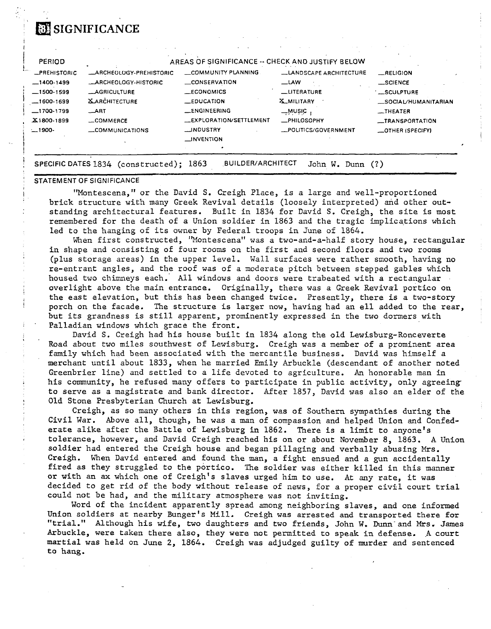# **a** SIGNIFICANCE

| <b>PERIOD</b>                       |                                                        | AREAS OF SIGNIFICANCE -- CHECK AND JUSTIFY BELOW |                                             |                                |
|-------------------------------------|--------------------------------------------------------|--------------------------------------------------|---------------------------------------------|--------------------------------|
| <b>_PREHISTORIC</b><br>$-1400.1499$ | <b>_ARCHEOLOGY-PREHISTORIC</b><br>_ARCHEOLOGY-HISTORIC | COMMUNITY PLANNING<br>$\equiv$ CONSERVATION      | <b>LANDSCAPE ARCHITECTURE</b><br><b>LAW</b> | RELIGION<br>_SCIENCE           |
| $-1500-1599$                        | <b>LAGRICULTURE</b>                                    | _ECONOMICS                                       | _LITERATURE                                 | <b>SCULPTURE</b>               |
| $-1600.1699$                        | <b>XARCHITECTURE</b>                                   | $EDUCA$ $TION$                                   | <b>X_MILITARY</b>                           | _SOCIAL/HUMANITARIAN           |
| $-1700-1799$<br>X1800-1899          | $\_$ ART<br>COMMERCE                                   | <b>LENGINEERING</b><br>LEXPLORATION/SETTLEMENT   | $-$ wusic<br><b>_PHILOSOPHY</b>             | $-$ THEATER<br>_TRANSPORTATION |
| $-1900-$                            | COMMUNICATIONS                                         | <b>MDUSTRY</b><br><b>LINVENTION</b>              | _POLITICS/GOVERNMENT                        | OTHER (SPECIFY)                |
|                                     |                                                        |                                                  |                                             |                                |

#### STATEMENT OF SIGNIFICANCE

"Montescena," or the David S. Creigh Place, is a large and well-proportioned brick structure with many Greek Revival details (loosely interpreted) and other outstanding architectural features. Built in 1834 for David S. Creigh, the site is most remembered for the death of a Union soldier in 1863 and the tragic implications which led to the hanging of its owner by Federal troops in June of 1864.

When first constructed, "Montescena" was a two-and-a-half story house, rectangular in shape and consisting of four rooms on the first and second floors and two rooms (plus storage areas) in the upper level. Wall surfaces were rather smooth, having no re-entrant angles, and the roof was of a moderate pitch between stepped gables which housed two chimneys each. All windows and doors were trabeated with a rectangular overlight above the main entrance. Originally, there was a Greek Revival portico on the east elevation, but this has been changed twice. Presently, there is a two-story porch on the facade. The structure is larger now, having had an ell added to the rear, but its grandness is still apparent, prominently expressed in the two dormers with Palladian windows which grace the front.

David S. Creigh had his house built in 1834 along the old Lewisburg-Ronceverte Road about two miles southwest of Lewisburg. Creigh was a member of a prominent area family which had been associated with the mercantile business. David was himself a merchant until about 1833, when he married Emily Arbuckle (descendant of another noted Greenbrier line) and settled to a life devoted to agriculture. An honorable man in his community, he refused many offers to participate in public activity, only agreeing to serve as a magistrate and bank director. After 1857, David was also an elder of the Old Stone Presbyterian Church at Lewisburg.

Creigh, as so many others in this region, was of Southern sympathies during the Civil War. Above all, though, he was a man of compassion and helped Union and Confederate alike after the Battle of Lewisburg in 1862. There is a limit to anyone's tolerance, however, and David Creigh reached his on or about November 8, 1863. **A** Union soldier had entered the Creigh house and began pillaging and verbally abusing Mrs. Creigh. When David entered and found the man, a fight ensued and a gun accidentally fired as they struggled to the portico. The soldier was either killed in this manner or with an ax which one of Creigh's slaves urged him to use. At any rate, it was decided to get rid of the body without release of news, for a proper civil court trial could not be had, and the military atmosphere was not inviting.

Word of the incident apparently spread among neighboring slaves, and one informed Union soldiers at nearby Bunger's Mill. Creigh was arrested and transported there for "trial." Although his wife, two daughters and two friends, John W. Dunn-and Mrs. James Arbuckle, were taken there also, they were not permitted to speak in defense. A court martial was held on June 2, 1864. Creigh was adjudged guilty of murder and sentenced to hang.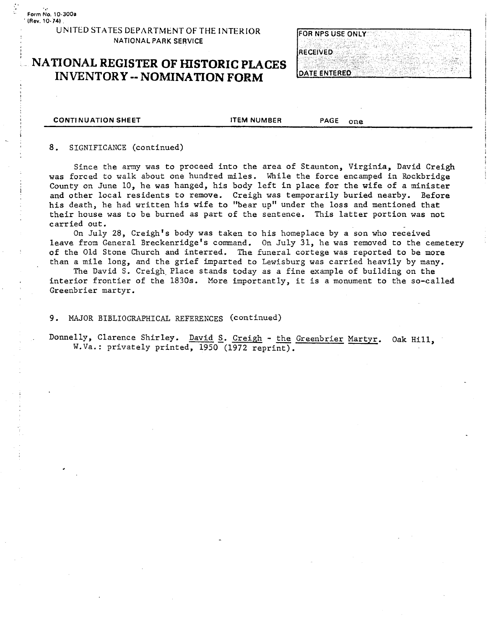#### UNITED STATES DEPARTMENT OF THE INTERIOR **NATIONAL** PARK SERVICE

## **NATIONAL REGISTER OF HISTORIC PLACES INVENTORY** -- **NOMINATION FORM**

| <b>FOR NPS USE ONLY</b> |  |  |  |  |
|-------------------------|--|--|--|--|
|                         |  |  |  |  |
| <b>IRECEIVED</b>        |  |  |  |  |
|                         |  |  |  |  |
| <b>DATE ENTERED</b>     |  |  |  |  |

**CONTI NUATION SHEET** ITEM NUMBER **PAGE** one

#### 8. SIGNIFICANCE (continued)

Since the army was to proceed into the area of Staunton, Virginia, David Creigh was forced to walk about one hundred miles. While the force encamped in Rockbridge County on June 10, he was hanged, his body left in place for the wife of a minister **<sup>1</sup>**and other local residents to remove. Creigh was temporarily buried nearby. Before his death, he had written his wife to "bear up" under the loss and mentioned that their house was to be burned as part of the sentence. This latter portion was not carried out.

On July 28, Creigh's body was taken to his homeplace by a son who received leave from General Breckenridge's command. On July 31, he was removed to the cemetery of the Old Stone Church and interred. **The** funeral cortege was reported to be more than a mile long, and the grief imparted to Lewisburg was carried heavily by many.

The David S. Creigh. Place stands today as a fine example of building on the interior frontier of the 1830s. Nore importantly, it is a monument to the so-called Greenbrier martyr.

9. MAJOR BIBLIOGRAPHICAL REFERENCES (continued)

Donnelly, Clarence Shirley. David S. Creigh - **the** Greenbrier Martyr. Oak Hill, W.Va.: privately printed, 1950 (1972 reprint).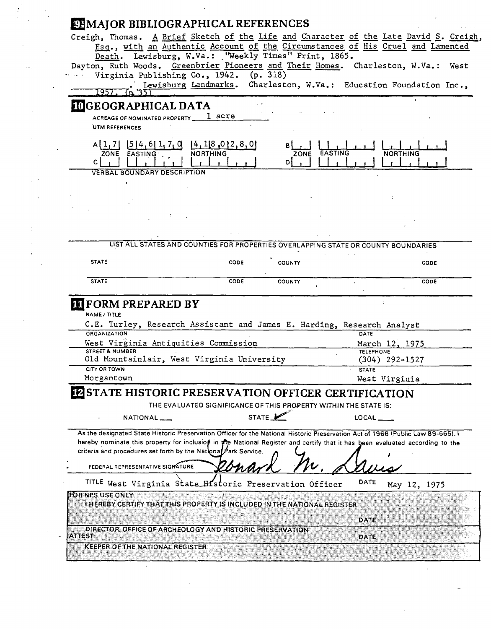|                                                                                                                                 | <b>EHMAJOR BIBLIOGRAPHICAL REFERENCES</b>                                          |                |               |         |                  |                  |  |
|---------------------------------------------------------------------------------------------------------------------------------|------------------------------------------------------------------------------------|----------------|---------------|---------|------------------|------------------|--|
| Creigh, Thomas. A Brief Sketch of the Life and Character of the Late David S. Creigh,                                           | Esq., with an Authentic Account of the Circumstances of His Cruel and Lamented     |                |               |         |                  |                  |  |
|                                                                                                                                 | Death. Lewisburg, W.Va.: . "Weekly Times" Print, 1865.                             |                |               |         |                  |                  |  |
| Dayton, Ruth Woods. Greenbrier Pioneers and Their Homes. Charleston, W.Va.: West                                                |                                                                                    |                |               |         |                  |                  |  |
|                                                                                                                                 | Virginia Publishing Co., 1942. (p. 318)                                            |                |               |         |                  |                  |  |
| (D)                                                                                                                             | Lewisburg Landmarks. Charleston, W.Va.: Education Foundation Inc.,                 |                |               |         |                  |                  |  |
| <b>IDGEOGRAPHICAL DATA</b>                                                                                                      |                                                                                    |                |               |         |                  |                  |  |
| ACREAGE OF NOMINATED PROPERTY                                                                                                   | 1 acre                                                                             |                |               |         |                  |                  |  |
| UTM REFERENCES                                                                                                                  |                                                                                    |                |               |         |                  |                  |  |
| $A[1,7]$ [5] 4, 6] 1, 7, 0                                                                                                      | [4, 1[8, 0]2, 8, 0]                                                                |                |               |         |                  |                  |  |
| ZONE EASTING                                                                                                                    | <b>NORTHING</b>                                                                    |                | ZONE          | EASTING |                  | <b>NORTHING</b>  |  |
| C.                                                                                                                              |                                                                                    |                | DI            |         |                  |                  |  |
| <b>VERBAL BOUNDARY DESCRIPTION</b>                                                                                              |                                                                                    |                |               |         |                  |                  |  |
|                                                                                                                                 |                                                                                    |                |               |         |                  |                  |  |
|                                                                                                                                 |                                                                                    |                |               |         |                  |                  |  |
|                                                                                                                                 |                                                                                    |                |               |         |                  |                  |  |
|                                                                                                                                 |                                                                                    |                |               |         |                  |                  |  |
|                                                                                                                                 |                                                                                    |                |               |         |                  |                  |  |
|                                                                                                                                 | LIST ALL STATES AND COUNTIES FOR PROPERTIES OVERLAPPING STATE OR COUNTY BOUNDARIES |                |               |         |                  |                  |  |
| <b>STATE</b>                                                                                                                    |                                                                                    | CODE           | COUNTY        |         |                  | CODE             |  |
|                                                                                                                                 |                                                                                    |                |               |         |                  |                  |  |
|                                                                                                                                 |                                                                                    |                |               |         |                  |                  |  |
| <b>STATE</b>                                                                                                                    |                                                                                    | CODE           | <b>COUNTY</b> |         |                  | CODE             |  |
|                                                                                                                                 |                                                                                    |                |               |         |                  |                  |  |
| <b>FORM PREPARED BY</b><br><b>NAME/TITLE</b>                                                                                    |                                                                                    |                |               |         |                  |                  |  |
| C.E. Turley, Research Assistant and James E. Harding, Research Analyst                                                          |                                                                                    |                |               |         |                  |                  |  |
| ORGANIZATION                                                                                                                    |                                                                                    |                |               |         | DATE             |                  |  |
| West Virginia Antiquities Commission<br><b>STREET &amp; NUMBER</b>                                                              |                                                                                    |                |               |         | <b>TELEPHONE</b> | March 12, 1975   |  |
| Old Mountainlair, West Virginia University                                                                                      |                                                                                    |                |               |         |                  | $(304)$ 292-1527 |  |
| <b>CITY OR TOWN</b>                                                                                                             |                                                                                    |                |               |         | <b>STATE</b>     |                  |  |
| Morgantown                                                                                                                      |                                                                                    |                |               |         |                  | West Virginia    |  |
| <b>IZ STATE HISTORIC PRESERVATION OFFICER CERTIFICATION</b>                                                                     |                                                                                    |                |               |         |                  |                  |  |
|                                                                                                                                 | THE EVALUATED SIGNIFICANCE OF THIS PROPERTY WITHIN THE STATE IS:                   |                |               |         |                  |                  |  |
| NATIONAL <sub>__</sub>                                                                                                          |                                                                                    | STATE <b>L</b> |               |         | LOCAL            |                  |  |
| As the designated State Historic Preservation Officer for the National Historic Preservation Act of 1966 (Public Law 89-665). I |                                                                                    |                |               |         |                  |                  |  |
| hereby nominate this property for inclusion in one National Register and certify that it has been evaluated according to the    |                                                                                    |                |               |         |                  |                  |  |
| criteria and procedures set forth by the National Park Service.                                                                 |                                                                                    |                |               |         |                  |                  |  |
| FEDERAL REPRESENTATIVE SIGNATURE                                                                                                |                                                                                    |                |               |         |                  |                  |  |
|                                                                                                                                 |                                                                                    |                |               |         | DATE             |                  |  |
| TITLE West Virginia State Historic Preservation Officer<br>FOR NPS USE ONLY                                                     |                                                                                    |                |               |         |                  | May 12, 1975     |  |
| I HEREBY CERTIFY THAT THIS PROPERTY IS INCLUDED IN THE NATIONAL REGISTER                                                        |                                                                                    |                |               |         |                  |                  |  |
|                                                                                                                                 |                                                                                    |                |               |         | DATE             |                  |  |

 $\frac{1}{2}$ 

 $\frac{1}{\sqrt{2}}$ 

医生产 医生物

 $\frac{1}{2}$ 

 $\frac{1}{2}$ 

 $\frac{1}{2}$ 

 $\ddot{\phantom{0}}$ 

 $\sqrt{2}$ 

 $\overline{\phantom{a}}$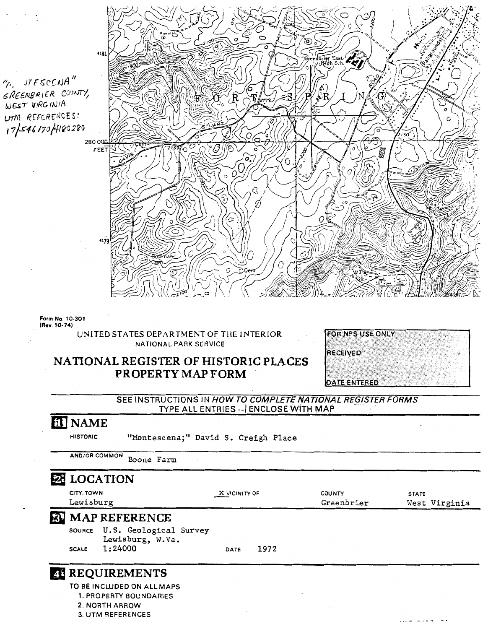". UTESCENA" GREENBRIER COUNTY, WEST VIRGINIA UTM REFERENCES!  $175461204480280$ 



**Form No. 10-301 (Rev. 10-74)** 

> **UNITED STATES DEPARTMENT OF THE INTERIOR NATIONAL PARK SERVICE**

### **NATIONAL REGISTER OF HISTORIC PLACES PROPERTY MAP FORM**

| <b>FOR NPS USE ONLY</b> |  |  |  |
|-------------------------|--|--|--|
|                         |  |  |  |
| <b>RECEIVED</b>         |  |  |  |
|                         |  |  |  |
|                         |  |  |  |
| DATE ENTERED            |  |  |  |

**SEE INSTRUCTIONS IN HOW TO COMPLETE NATIONAL REGISTER FORMS TYPE ALL ENTRIES** --I **ENCLOSE WITH MAP** 

## **EL** NAME

**HISTORIC** "Montescena;" David S. Creigh Place

|                         | <b>23 LOCATION</b>                         |               |      |                             |              |               |
|-------------------------|--------------------------------------------|---------------|------|-----------------------------|--------------|---------------|
| CITY, TOWN<br>Lewisburg |                                            | X VICINITY OF |      | <b>COUNTY</b><br>Greenbrier | <b>STATE</b> | West Virginia |
|                         | <b>BU MAP REFERENCE</b>                    |               |      |                             |              |               |
| <b>SOURCE</b>           | U.S. Geological Survey<br>Lewisburg, W.Va. |               |      |                             |              |               |
| <b>SCALE</b>            | 1:24000                                    | DATE          | 1972 |                             |              |               |

**3. UTM REFERENCES**